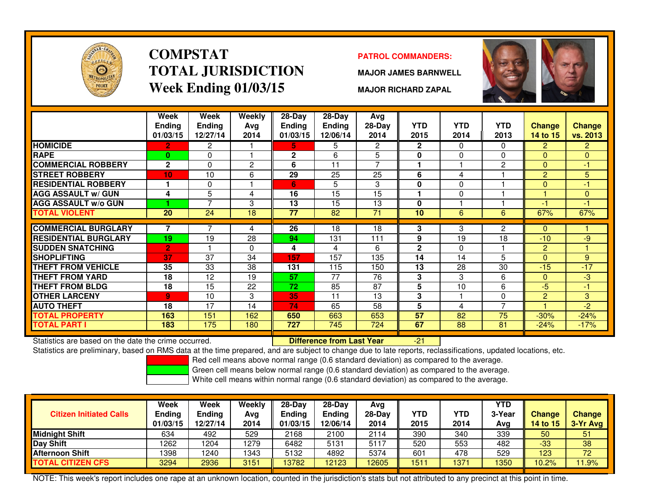

### **COMPSTATTOTAL JURISDICTIONWeek Ending 01/03/15**

### **PATROL COMMANDERS:**

**MAJOR JAMES BARNWELL**

**MAJOR RICHARD ZAPAL**



|                             | Week<br><b>Ending</b><br>01/03/15 | Week<br><b>Ending</b><br>12/27/14 | Weekly<br>Ava<br>2014 | 28-Day<br><b>Endina</b><br>01/03/15 | $28$ -Day<br><b>Ending</b><br>12/06/14 | Avg<br>28-Day<br>2014 | <b>YTD</b><br>2015 | <b>YTD</b><br>2014 | <b>YTD</b><br>2013 | Change<br>14 to 15 | <b>Change</b><br>vs. 2013 |
|-----------------------------|-----------------------------------|-----------------------------------|-----------------------|-------------------------------------|----------------------------------------|-----------------------|--------------------|--------------------|--------------------|--------------------|---------------------------|
| <b>HOMICIDE</b>             | 2.                                | $\overline{2}$                    |                       | 5.                                  | 5                                      | $\overline{2}$        | $\overline{2}$     | $\Omega$           | 0                  | $\overline{2}$     | $\overline{2}$            |
| <b>RAPE</b>                 | $\mathbf{0}$                      | 0                                 |                       | $\mathbf{2}$                        | 6                                      | 5                     | 0                  | 0                  | $\Omega$           | $\Omega$           | $\overline{0}$            |
| <b>COMMERCIAL ROBBERY</b>   | $\mathbf{2}$                      | $\Omega$                          | 2                     | 6                                   | 11                                     | ⇁                     | ٠                  |                    | $\overline{c}$     | $\Omega$           | -1                        |
| <b>ISTREET ROBBERY</b>      | 10 <sub>1</sub>                   | 10                                | 6                     | 29                                  | 25                                     | 25                    | 6                  | 4                  |                    | 2                  | 5                         |
| <b>RESIDENTIAL ROBBERY</b>  |                                   | $\Omega$                          |                       | 6                                   | 5                                      | 3                     | 0                  | $\Omega$           |                    | $\Omega$           | $-1$                      |
| <b>AGG ASSAULT w/ GUN</b>   | 4                                 | 5                                 | 4                     | 16                                  | 15                                     | 15                    |                    | 0                  |                    |                    | $\mathbf{0}$              |
| <b>AGG ASSAULT w/o GUN</b>  |                                   | 7                                 | 3                     | 13                                  | 15                                     | 13                    | 0                  |                    |                    | $-1$               | -1                        |
| <b>TOTAL VIOLENT</b>        | $\overline{20}$                   | 24                                | 18                    | 77                                  | 82                                     | 71                    | 10                 | 6                  | 6                  | 67%                | 67%                       |
|                             |                                   |                                   |                       |                                     |                                        |                       |                    |                    |                    |                    |                           |
| <b>COMMERCIAL BURGLARY</b>  | 7                                 | 7                                 | 4                     | 26                                  | 18                                     | 18                    | 3                  | 3                  | $\mathbf{2}$       | $\Omega$           |                           |
| <b>RESIDENTIAL BURGLARY</b> | 19                                | 19                                | 28                    | 94                                  | 131                                    | 111                   | 9                  | 19                 | 18                 | $-10$              | $-9$                      |
| <b>SUDDEN SNATCHING</b>     | $\overline{2}$                    |                                   | 0                     | 4                                   | 4                                      | 6                     | $\mathbf{2}$       | $\Omega$           |                    | $\overline{2}$     |                           |
| <b>SHOPLIFTING</b>          | 37                                | 37                                | 34                    | 157                                 | 157                                    | 135                   | 14                 | 14                 | 5                  | $\Omega$           | 9                         |
| <b>THEFT FROM VEHICLE</b>   | 35                                | 33                                | 38                    | 131                                 | 115                                    | 150                   | 13                 | 28                 | 30                 | $-15$              | $-17$                     |
| THEFT FROM YARD             | 18                                | 12                                | 19                    | 57                                  | 77                                     | 76                    | 3                  | 3                  | 6                  | $\Omega$           | لې.                       |
| <b>THEFT FROM BLDG</b>      | 18                                | 15                                | 22                    | 72                                  | 85                                     | 87                    | 5                  | 10                 | 6                  | $-5$               | $-1$                      |
| <b>OTHER LARCENY</b>        | 9                                 | 10                                | 3                     | 35                                  | 11                                     | 13                    | 3                  |                    | $\Omega$           | 2                  | 3                         |
| <b>AUTO THEFT</b>           | 18                                | 17                                | 14                    | 74                                  | 65                                     | 58                    | 5                  | 4                  | $\overline{7}$     |                    | $-2$                      |
| <b>TOTAL PROPERTY</b>       | 163                               | 151                               | 162                   | 650                                 | 663                                    | 653                   | 57                 | 82                 | 75                 | $-30%$             | $-24%$                    |
| <b>TOTAL PART I</b>         | 183                               | 175                               | 180                   | 727                                 | 745                                    | 724                   | 67                 | 88                 | 81                 | $-24%$             | $-17%$                    |

Statistics are based on the date the crime occurred. **Difference from Last Year** 

Statistics are based on the date the crime occurred. **[19] Letter Lubber 10 Letter Conduct Statistics** are based on the date time occurred.<br>Statistics are preliminary, based on RMS data at the time prepared, and are subjec

Red cell means above normal range (0.6 standard deviation) as compared to the average.

Green cell means below normal range (0.6 standard deviation) as compared to the average.

White cell means within normal range (0.6 standard deviation) as compared to the average.

| <b>Citizen Initiated Calls</b> | Week<br>Ending<br>01/03/15 | Week<br>Ending<br>12/27/14 | Weekly<br>Avg<br>2014 | $28-Dav$<br>Ending<br>01/03/15 | $28-Dav$<br><b>Ending</b><br>12/06/14 | Avg<br>28-Dav<br>2014 | <b>YTD</b><br>2015 | YTD<br>2014 | <b>YTD</b><br>3-Year<br>Avg | <b>Change</b><br>14 to 15 | <b>Change</b><br>$3-Yr$ Avg |
|--------------------------------|----------------------------|----------------------------|-----------------------|--------------------------------|---------------------------------------|-----------------------|--------------------|-------------|-----------------------------|---------------------------|-----------------------------|
| <b>Midnight Shift</b>          | 634                        | 492                        | 529                   | 2168                           | 2100                                  | 2114                  | 390                | 340         | 339                         | 50                        | 51                          |
| Day Shift                      | 1262                       | 1204                       | 1279                  | 6482                           | 5131                                  | 5117                  | 520                | 553         | 482                         | -33                       | 38                          |
| <b>Afternoon Shift</b>         | 1398                       | 1240                       | 1343                  | 5132                           | 4892                                  | 5374                  | 60 <sup>1</sup>    | 478         | 529                         | 123                       | 72                          |
| <b>TOTAL CITIZEN CFS</b>       | 3294                       | 2936                       | 3151                  | 13782                          | 12123                                 | 2605                  | 1511               | 1377        | 1350                        | 10.2%                     | 11.9%                       |

NOTE: This week's report includes one rape at an unknown location, counted in the jurisdiction's stats but not attributed to any precinct at this point in time.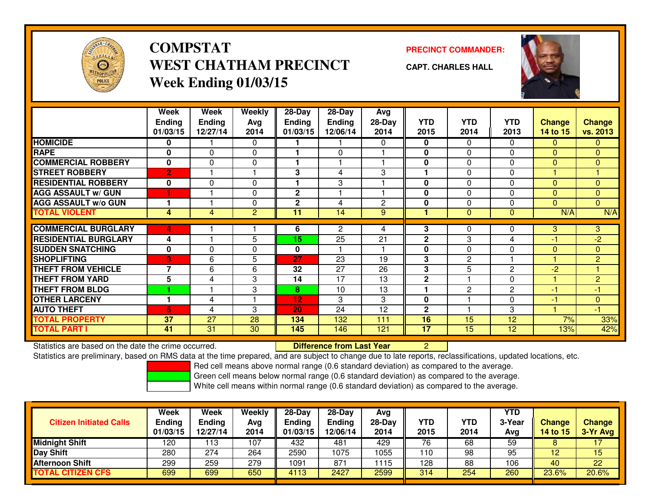

# **COMPSTATWEST CHATHAM PRECINCTWeek Ending 01/03/15**

### **PRECINCT COMMANDER:**

**CAPT. CHARLES HALL**



|                             | Week<br><b>Ending</b><br>01/03/15 | Week<br><b>Ending</b><br>12/27/14 | Weekly<br>Avg<br>2014 | $28-Day$<br><b>Endina</b><br>01/03/15 | $28$ -Day<br><b>Endina</b><br>12/06/14 | Avg<br>$28-Day$<br>2014 | <b>YTD</b><br>2015 | <b>YTD</b><br>2014 | <b>YTD</b><br>2013 | <b>Change</b><br>14 to 15 | <b>Change</b><br>vs. 2013 |
|-----------------------------|-----------------------------------|-----------------------------------|-----------------------|---------------------------------------|----------------------------------------|-------------------------|--------------------|--------------------|--------------------|---------------------------|---------------------------|
| <b>HOMICIDE</b>             | 0                                 |                                   | 0                     |                                       |                                        | $\Omega$                | 0                  | $\Omega$           | 0                  | $\mathbf{0}$              | $\mathbf{0}$              |
| <b>RAPE</b>                 | $\mathbf{0}$                      | $\Omega$                          | $\Omega$              |                                       | $\Omega$                               |                         | $\mathbf{0}$       | $\Omega$           | 0                  | $\Omega$                  | $\overline{0}$            |
| <b>COMMERCIAL ROBBERY</b>   | $\mathbf{0}$                      | $\Omega$                          | 0                     |                                       |                                        |                         | 0                  | $\Omega$           | 0                  | $\Omega$                  | $\Omega$                  |
| <b>STREET ROBBERY</b>       | $\overline{2}$                    |                                   | ٠                     | 3                                     | 4                                      | 3                       |                    | $\Omega$           | 0                  |                           |                           |
| <b>RESIDENTIAL ROBBERY</b>  | 0                                 | $\Omega$                          | 0                     |                                       | 3                                      |                         | $\mathbf{0}$       | $\Omega$           | 0                  | $\Omega$                  | $\Omega$                  |
| <b>AGG ASSAULT w/ GUN</b>   |                                   |                                   | 0                     | 2                                     |                                        |                         | 0                  | 0                  | 0                  | $\mathbf{0}$              | $\mathbf{0}$              |
| <b>AGG ASSAULT w/o GUN</b>  |                                   |                                   | $\mathbf{0}$          | $\mathbf{2}$                          | 4                                      | 2                       | $\mathbf{0}$       | $\Omega$           | $\Omega$           | $\Omega$                  | $\Omega$                  |
| <b>TOTAL VIOLENT</b>        | 4                                 | 4                                 | 2                     | 11                                    | 14                                     | 9                       |                    | $\mathbf{0}$       | $\mathbf{0}$       | N/A                       | N/A                       |
|                             |                                   |                                   |                       |                                       |                                        |                         |                    |                    |                    |                           |                           |
| <b>COMMERCIAL BURGLARY</b>  | 4                                 |                                   |                       | 6                                     | $\overline{2}$                         | 4                       | 3                  | 0                  | 0                  | 3                         | 3                         |
| <b>RESIDENTIAL BURGLARY</b> | 4                                 |                                   | 5                     | 15                                    | 25                                     | 21                      | $\mathbf 2$        | 3                  | 4                  | $-1$                      | $-2$                      |
| <b>SUDDEN SNATCHING</b>     | 0                                 | 0                                 | 0                     | 0                                     |                                        |                         | 0                  | 0                  | 0                  | $\mathbf{0}$              | $\mathbf{0}$              |
| <b>SHOPLIFTING</b>          | $\overline{9}$                    | 6                                 | 5                     | 27                                    | 23                                     | 19                      | 3                  | 2                  |                    |                           | $\overline{2}$            |
| <b>THEFT FROM VEHICLE</b>   | $\overline{\phantom{a}}$          | 6                                 | 6                     | 32                                    | 27                                     | 26                      | 3                  | 5                  | $\overline{2}$     | $-2$                      |                           |
| <b>THEFT FROM YARD</b>      | 5                                 | 4                                 | 3                     | 14                                    | 17                                     | 13                      | $\mathbf 2$        |                    | 0                  | ۷                         | $\overline{2}$            |
| <b>THEFT FROM BLDG</b>      |                                   |                                   | 3                     | 8                                     | 10                                     | 13                      |                    | 2                  | $\mathbf{2}$       | $-1$                      | -1                        |
| <b>OTHER LARCENY</b>        |                                   | 4                                 | ٠                     | 12                                    | 3                                      | 3                       | $\mathbf{0}$       |                    | 0                  | $-1$                      | $\mathbf{0}$              |
| <b>AUTO THEFT</b>           | 6                                 | 4                                 | 3                     | 20                                    | 24                                     | 12                      | $\mathbf{2}$       |                    | 3                  |                           | $-1$                      |
| <b>TOTAL PROPERTY</b>       | 37                                | 27                                | 28                    | 134                                   | 132                                    | 111                     | 16                 | 15                 | 12                 | 7%                        | 33%                       |
| <b>TOTAL PART I</b>         | 41                                | 31                                | 30                    | 145                                   | 146                                    | 121                     | 17                 | 15                 | 12                 | 13%                       | 42%                       |

Statistics are based on the date the crime occurred. **Difference from Last Year** 

Statistics are based on the date the crime occurred.<br>Statistics are preliminary, based on RMS data at the time prepared, and are subject to change due to late reports, reclassifications, updated locations, etc.

Red cell means above normal range (0.6 standard deviation) as compared to the average.

Green cell means below normal range (0.6 standard deviation) as compared to the average.

| <b>Citizen Initiated Calls</b> | Week<br><b>Ending</b><br>01/03/15 | Week<br>Ending<br>12/27/14 | Weekly<br>Avg<br>2014 | $28-Day$<br><b>Ending</b><br>01/03/15 | 28-Day<br>Ending<br>12/06/14 | Avg<br>28-Day<br>2014 | YTD<br>2015 | YTD<br>2014 | YTD<br>3-Year<br>Avg | <b>Change</b><br>14 to 15 | <b>Change</b><br>3-Yr Avg |
|--------------------------------|-----------------------------------|----------------------------|-----------------------|---------------------------------------|------------------------------|-----------------------|-------------|-------------|----------------------|---------------------------|---------------------------|
| <b>Midnight Shift</b>          | 120                               | 13                         | 107                   | 432                                   | 481                          | 429                   | 76          | 68          | 59                   |                           |                           |
| <b>Day Shift</b>               | 280                               | 274                        | 264                   | 2590                                  | 1075                         | 1055                  | 110         | 98          | 95                   | 12                        | 15                        |
| <b>Afternoon Shift</b>         | 299                               | 259                        | 279                   | 1091                                  | 871                          | 1115                  | 128         | 88          | 106                  | 40                        | 22                        |
| <b>TOTAL CITIZEN CFS</b>       | 699                               | 699                        | 650                   | 4113                                  | 2427                         | 2599                  | 314         | 254         | 260                  | 23.6%                     | 20.6%                     |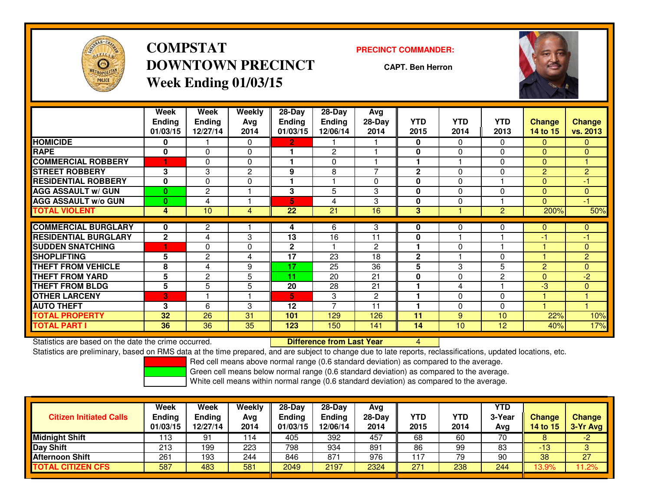

**COMPSTATDOWNTOWN PRECINCTWeek Ending 01/03/15**

#### **PRECINCT COMMANDER:**

**CAPT. Ben Herron**



|                             | Week<br><b>Ending</b><br>01/03/15 | Week<br><b>Ending</b><br>12/27/14 | Weekly<br>Avg<br>2014 | $28 - Day$<br><b>Ending</b><br>01/03/15 | $28$ -Day<br>Ending<br>12/06/14 | Avg<br>28-Day<br>2014 | <b>YTD</b><br>2015 | <b>YTD</b><br>2014 | <b>YTD</b><br>2013 | <b>Change</b><br>14 to 15 | <b>Change</b><br>vs. 2013 |
|-----------------------------|-----------------------------------|-----------------------------------|-----------------------|-----------------------------------------|---------------------------------|-----------------------|--------------------|--------------------|--------------------|---------------------------|---------------------------|
| <b>HOMICIDE</b>             | 0                                 |                                   | 0                     | $\mathbf 2$ .                           |                                 |                       | 0                  | 0                  | 0                  | 0                         | 0                         |
| <b>RAPE</b>                 | $\bf{0}$                          | $\Omega$                          | 0                     |                                         | $\overline{2}$                  |                       | 0                  | $\mathbf{0}$       | $\Omega$           | $\Omega$                  | $\overline{0}$            |
| <b>COMMERCIAL ROBBERY</b>   |                                   | 0                                 | 0                     |                                         | 0                               |                       | 4                  |                    | $\Omega$           | $\mathbf{0}$              |                           |
| <b>STREET ROBBERY</b>       | 3                                 | 3                                 | 2                     | 9                                       | 8                               | 7                     | $\mathbf{2}$       | $\Omega$           | $\Omega$           | $\overline{2}$            | $\overline{2}$            |
| <b>RESIDENTIAL ROBBERY</b>  | $\mathbf{0}$                      | $\Omega$                          | 0                     |                                         |                                 | $\Omega$              | $\mathbf{0}$       | $\mathbf{0}$       |                    | $\Omega$                  | -1                        |
| <b>AGG ASSAULT w/ GUN</b>   | $\mathbf{0}$                      | $\overline{2}$                    |                       | 3                                       | 5                               | 3                     | $\mathbf{0}$       | $\Omega$           | $\Omega$           | $\Omega$                  | $\overline{0}$            |
| <b>AGG ASSAULT w/o GUN</b>  | $\mathbf{0}$                      | 4                                 |                       | 5                                       | 4                               | 3                     | $\mathbf{0}$       | 0                  |                    | $\Omega$                  | -1                        |
| <b>TOTAL VIOLENT</b>        | 4                                 | 10                                | 4                     | 22                                      | 21                              | 16                    | 3                  |                    | $\overline{2}$     | 200%                      | 50%                       |
|                             |                                   |                                   |                       |                                         |                                 |                       |                    |                    |                    |                           |                           |
| <b>COMMERCIAL BURGLARY</b>  | 0                                 | $\overline{c}$                    |                       | 4                                       | 6                               | 3                     | 0                  | $\Omega$           | 0                  | 0                         | 0                         |
| <b>RESIDENTIAL BURGLARY</b> | $\mathbf{2}$                      | 4                                 | 3                     | 13                                      | 16                              | 11                    | 0                  |                    |                    | -1                        | $-1$                      |
| <b>SUDDEN SNATCHING</b>     |                                   | 0                                 | 0                     | $\mathbf{2}$                            |                                 | $\overline{c}$        |                    | 0                  |                    |                           | $\overline{0}$            |
| SHOPLIFTING                 | 5                                 | $\overline{2}$                    | 4                     | 17                                      | 23                              | 18                    | $\mathbf{2}$       |                    | 0                  |                           | $\overline{2}$            |
| <b>THEFT FROM VEHICLE</b>   | 8                                 | 4                                 | 9                     | 17                                      | 25                              | 36                    | 5                  | 3                  | 5                  | 2                         | $\overline{0}$            |
| THEFT FROM YARD             | 5                                 | $\overline{c}$                    | 5                     | 11                                      | 20                              | 21                    | 0                  | $\Omega$           | $\overline{2}$     | $\Omega$                  | $-2$                      |
| <b>THEFT FROM BLDG</b>      | 5                                 | 5                                 | 5                     | 20                                      | 28                              | 21                    |                    | 4                  |                    | $-3$                      | $\overline{0}$            |
| <b>OTHER LARCENY</b>        | 3                                 |                                   |                       | 5.                                      | 3                               | $\overline{2}$        |                    | $\mathbf{0}$       | $\Omega$           |                           |                           |
| <b>AUTO THEFT</b>           | 3                                 | 6                                 | 3                     | 12                                      | $\overline{ }$                  | 11                    |                    | 0                  | $\Omega$           |                           |                           |
| TOTAL PROPERTY              | 32                                | 26                                | 31                    | 101                                     | 129                             | 126                   | 11                 | 9                  | 10                 | 22%                       | 10%                       |
| TOTAL PART I                | 36                                | 36                                | 35                    | 123                                     | 150                             | 141                   | 14                 | 10                 | 12                 | 40%                       | 17%                       |

Statistics are based on the date the crime occurred. **Difference from Last Year** 

Statistics are based on the date the crime occurred. **Extence to Lub in the Care Concept Concept and America** to<br>Statistics are preliminary, based on RMS data at the time prepared, and are subject to change due to late rep

Red cell means above normal range (0.6 standard deviation) as compared to the average.

Green cell means below normal range (0.6 standard deviation) as compared to the average.

| <b>Citizen Initiated Calls</b> | Week<br><b>Ending</b><br>01/03/15 | <b>Week</b><br><b>Ending</b><br>12/27/14 | Weekly<br>Avg<br>2014 | $28-Day$<br><b>Ending</b><br>01/03/15 | $28-Dav$<br>Ending<br>12/06/14 | Avg<br>$28-Dav$<br>2014 | YTD<br>2015 | <b>YTD</b><br>2014 | <b>YTD</b><br>3-Year<br>Avg | <b>Change</b><br><b>14 to 15</b> | <b>Change</b><br>3-Yr Avg |
|--------------------------------|-----------------------------------|------------------------------------------|-----------------------|---------------------------------------|--------------------------------|-------------------------|-------------|--------------------|-----------------------------|----------------------------------|---------------------------|
| <b>Midnight Shift</b>          | 113                               | 91                                       | 114                   | 405                                   | 392                            | 457                     | 68          | 60                 | 70                          | o                                | $-2$                      |
| Day Shift                      | 213                               | 199                                      | 223                   | 798                                   | 934                            | 89                      | 86          | 99                 | 83                          | $-13$                            |                           |
| <b>Afternoon Shift</b>         | 261                               | 193                                      | 244                   | 846                                   | 871                            | 976                     | 17          | 79                 | 90                          | 38                               | 27                        |
| <b>TOTAL CITIZEN CFS</b>       | 587                               | 483                                      | 581                   | 2049                                  | 2197                           | 2324                    | 271         | 238                | 244                         | 13.9%                            | .2%                       |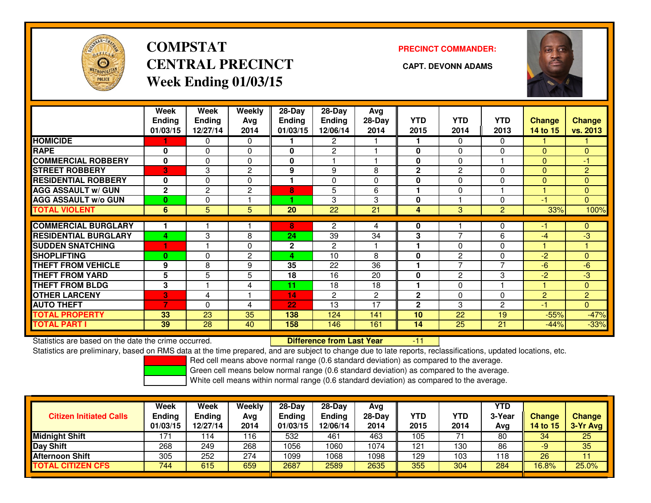

# **COMPSTATCENTRAL PRECINCT CAPT. DEVONN ADAMSWeek Ending 01/03/15**

**PRECINCT COMMANDER:**



|                             | Week<br><b>Ending</b><br>01/03/15 | Week<br><b>Ending</b><br>12/27/14 | Weekly<br>Avg<br>2014 | $28-Day$<br>Ending<br>01/03/15 | 28-Day<br><b>Ending</b><br>12/06/14 | Avg<br>$28-Day$<br>2014 | <b>YTD</b><br>2015 | <b>YTD</b><br>2014 | <b>YTD</b><br>2013 | <b>Change</b><br>14 to 15 | <b>Change</b><br>vs. 2013 |
|-----------------------------|-----------------------------------|-----------------------------------|-----------------------|--------------------------------|-------------------------------------|-------------------------|--------------------|--------------------|--------------------|---------------------------|---------------------------|
| <b>HOMICIDE</b>             | 1                                 | 0                                 | $\Omega$              |                                | 2                                   |                         |                    | $\Omega$           | 0                  |                           |                           |
| <b>RAPE</b>                 | 0                                 | $\Omega$                          | $\Omega$              | 0                              | 2                                   |                         | $\mathbf{0}$       | $\Omega$           | $\Omega$           | $\Omega$                  | $\overline{0}$            |
| <b>COMMERCIAL ROBBERY</b>   | $\mathbf{0}$                      | $\Omega$                          | $\Omega$              | 0                              |                                     |                         | $\mathbf{0}$       | $\Omega$           |                    | $\mathbf{0}$              | -1                        |
| <b>STREET ROBBERY</b>       | 3                                 | 3                                 | $\mathbf{2}$          | 9                              | 9                                   | 8                       | $\mathbf{2}$       | $\overline{2}$     | $\Omega$           | $\mathbf{0}$              | $\overline{2}$            |
| <b>RESIDENTIAL ROBBERY</b>  | 0                                 | $\Omega$                          | $\Omega$              |                                | 0                                   | 0                       | $\bf{0}$           | $\Omega$           | 0                  | $\Omega$                  | 0                         |
| <b>AGG ASSAULT w/ GUN</b>   | $\mathbf{2}$                      | $\overline{2}$                    | $\overline{c}$        | 8                              | 5                                   | 6                       |                    | $\Omega$           |                    |                           | $\Omega$                  |
| <b>AGG ASSAULT w/o GUN</b>  | $\bf{0}$                          | $\Omega$                          |                       |                                | 3                                   | 3                       | $\bf{0}$           |                    | $\Omega$           | -1                        | $\overline{0}$            |
| <b>TOTAL VIOLENT</b>        | 6                                 | 5                                 | 5                     | 20                             | 22                                  | 21                      | 4                  | 3                  | $\overline{2}$     | 33%                       | 100%                      |
|                             |                                   |                                   |                       |                                |                                     |                         |                    |                    |                    |                           |                           |
| <b>COMMERCIAL BURGLARY</b>  |                                   |                                   |                       | 8                              | $\overline{2}$                      | 4                       | 0                  |                    | 0                  | -1                        | 0                         |
| <b>RESIDENTIAL BURGLARY</b> | 4                                 | 3                                 | 8                     | 24                             | 39                                  | 34                      | 3                  | $\overline{ }$     | 6                  | -4                        | -3                        |
| <b>SUDDEN SNATCHING</b>     | 1                                 |                                   | $\Omega$              | $\mathbf{2}$                   | $\overline{2}$                      |                         |                    | $\Omega$           | $\Omega$           |                           |                           |
| <b>SHOPLIFTING</b>          | $\bf{0}$                          | 0                                 | $\overline{c}$        | 4                              | 10                                  | 8                       | $\bf{0}$           | 2                  | $\Omega$           | $-2$                      | $\Omega$                  |
| <b>THEFT FROM VEHICLE</b>   | 9                                 | 8                                 | 9                     | 35                             | 22                                  | 36                      |                    | $\overline{7}$     | $\overline{7}$     | $-6$                      | $-6$                      |
| <b>THEFT FROM YARD</b>      | 5                                 | 5                                 | 5                     | 18                             | 16                                  | 20                      | $\mathbf{0}$       | $\overline{2}$     | 3                  | $-2$                      | $-3$                      |
| <b>THEFT FROM BLDG</b>      | 3                                 |                                   | 4                     | 11                             | 18                                  | 18                      |                    | $\Omega$           |                    |                           | $\overline{0}$            |
| <b>OTHER LARCENY</b>        | 3                                 | 4                                 |                       | 14                             | $\overline{2}$                      | $\overline{2}$          | $\mathbf{2}$       | 0                  | $\Omega$           | 2                         | $\overline{2}$            |
| <b>AUTO THEFT</b>           | $\overline{7}$                    | 0                                 | 4                     | 22                             | 13                                  | 17                      | $\mathbf{2}$       | 3                  | 2                  | -1                        | $\overline{0}$            |
| <b>TOTAL PROPERTY</b>       | 33                                | 23                                | 35                    | 138                            | 124                                 | 141                     | 10                 | 22                 | 19                 | $-55%$                    | $-47%$                    |
| <b>TOTAL PART I</b>         | 39                                | 28                                | 40                    | 158                            | 146                                 | 161                     | 14                 | 25                 | 21                 | $-44%$                    | $-33%$                    |

Statistics are based on the date the crime occurred. **Difference from Last Year** 

Statistics are based on the date the crime occurred. **Extence to Lub in Difference from Last Year Film Man**tics are based on the date the crime occurred.<br>Statistics are preliminary, based on RMS data at the time prepared,

Red cell means above normal range (0.6 standard deviation) as compared to the average.

Green cell means below normal range (0.6 standard deviation) as compared to the average.

| <b>Citizen Initiated Calls</b> | <b>Week</b><br><b>Ending</b><br>01/03/15 | <b>Week</b><br><b>Ending</b><br>12/27/14 | Weekly<br>Avg<br>2014 | $28-Day$<br><b>Ending</b><br>01/03/15 | $28-Dav$<br><b>Ending</b><br>12/06/14 | Avg<br>$28-Day$<br>2014 | YTD<br>2015 | <b>YTD</b><br>2014 | YTD<br>3-Year<br>Avg | <b>Change</b><br>14 to 15 | <b>Change</b><br>3-Yr Avg |
|--------------------------------|------------------------------------------|------------------------------------------|-----------------------|---------------------------------------|---------------------------------------|-------------------------|-------------|--------------------|----------------------|---------------------------|---------------------------|
| <b>Midnight Shift</b>          | 171                                      | ' 14                                     | 116                   | 532                                   | 461                                   | 463                     | 105         |                    | 80                   | 34                        | $\overline{25}$           |
| Day Shift                      | 268                                      | 249                                      | 268                   | 1056                                  | 1060                                  | 1074                    | 121         | 130                | 86                   | -9                        | 35                        |
| <b>Afternoon Shift</b>         | 305                                      | 252                                      | 274                   | 1099                                  | 1068                                  | 1098                    | 129         | 103                | 118                  | 26                        | 11                        |
| <b>TOTAL CITIZEN CFS</b>       | 744                                      | 615                                      | 659                   | 2687                                  | 2589                                  | 2635                    | 355         | 304                | 284                  | 16.8%                     | 25.0%                     |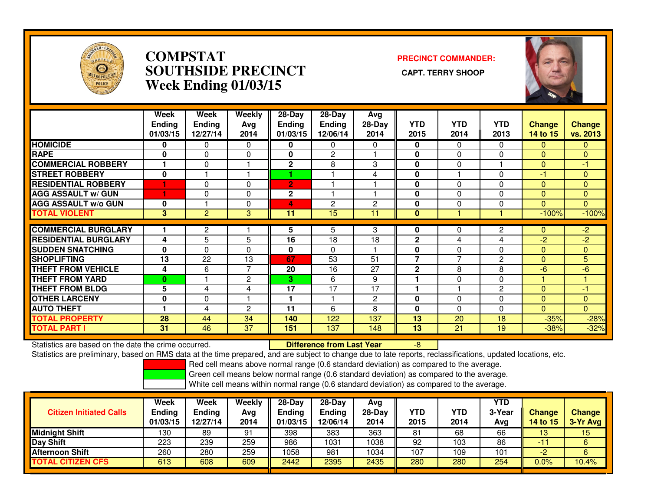

### **COMPSTAT PRECINCT COMMANDER: SOUTHSIDE PRECINCT CAPT. TERRY SHOOPWeek Ending 01/03/15**



|                             | Week<br><b>Ending</b><br>01/03/15 | Week<br><b>Ending</b><br>12/27/14 | <b>Weekly</b><br>Avg<br>2014 | $28-Day$<br><b>Ending</b><br>01/03/15 | $28-Day$<br><b>Ending</b><br>12/06/14 | Avg<br>28-Day<br>2014 | <b>YTD</b><br>2015 | <b>YTD</b><br>2014 | <b>YTD</b><br>2013 | <b>Change</b><br>14 to 15 | <b>Change</b><br><b>vs. 2013</b> |
|-----------------------------|-----------------------------------|-----------------------------------|------------------------------|---------------------------------------|---------------------------------------|-----------------------|--------------------|--------------------|--------------------|---------------------------|----------------------------------|
| <b>HOMICIDE</b>             | 0                                 | 0                                 | $\Omega$                     | 0                                     | $\Omega$                              | 0                     | 0                  | $\Omega$           | $\mathbf{0}$       | $\Omega$                  | $\mathbf{0}$                     |
| <b>RAPE</b>                 | 0                                 | $\Omega$                          | 0                            | $\bf{0}$                              | $\overline{2}$                        |                       | 0                  | $\Omega$           | $\Omega$           | $\Omega$                  | $\mathbf{0}$                     |
| <b>COMMERCIAL ROBBERY</b>   |                                   | $\Omega$                          | н                            | $\mathbf 2$                           | 8                                     | 3                     | $\mathbf{0}$       | 0                  |                    | $\mathbf{0}$              | $-1$                             |
| <b>STREET ROBBERY</b>       | $\mathbf 0$                       |                                   | ٠                            |                                       |                                       | 4                     | $\mathbf{0}$       |                    | $\Omega$           | $-1$                      | $\mathbf{0}$                     |
| <b>RESIDENTIAL ROBBERY</b>  |                                   | $\Omega$                          | $\Omega$                     | $\overline{2}$                        |                                       |                       | 0                  | 0                  | $\mathbf{0}$       | $\Omega$                  | $\mathbf{0}$                     |
| <b>AGG ASSAULT w/ GUN</b>   | 1                                 | 0                                 | 0                            | $\mathbf 2$                           |                                       |                       | 0                  | 0                  | $\mathbf{0}$       | $\mathbf{0}$              | $\overline{0}$                   |
| <b>AGG ASSAULT w/o GUN</b>  | 0                                 |                                   | $\mathbf{0}$                 | 4                                     | $\overline{c}$                        | $\overline{2}$        | $\mathbf{0}$       | 0                  | $\mathbf{0}$       | $\Omega$                  | $\overline{0}$                   |
| <b>TOTAL VIOLENT</b>        | 3                                 | 2                                 | 3                            | 11                                    | 15                                    | 11                    | $\mathbf{0}$       |                    |                    | $-100%$                   | $-100%$                          |
|                             |                                   |                                   |                              |                                       |                                       |                       |                    |                    |                    |                           |                                  |
| <b>COMMERCIAL BURGLARY</b>  |                                   | $\overline{2}$                    |                              | 5                                     | 5                                     | 3                     | 0                  | 0                  | $\mathbf{2}$       | $\mathbf{0}$              | $\overline{2}$                   |
| <b>RESIDENTIAL BURGLARY</b> | 4                                 | 5                                 | 5                            | 16                                    | 18                                    | 18                    | $\mathbf{2}$       | 4                  | 4                  | $-2$                      | $-2$                             |
| <b>SUDDEN SNATCHING</b>     | 0                                 | $\Omega$                          | 0                            | 0                                     | $\Omega$                              |                       | 0                  | 0                  | 0                  | $\mathbf{0}$              | $\mathbf{0}$                     |
| <b>SHOPLIFTING</b>          | 13                                | 22                                | 13                           | 67                                    | 53                                    | 51                    | 7                  | 7                  | $\overline{2}$     | $\Omega$                  | 5                                |
| <b>THEFT FROM VEHICLE</b>   | 4                                 | 6                                 | $\overline{7}$               | 20                                    | 16                                    | 27                    | $\mathbf 2$        | 8                  | 8                  | -6                        | $-6$                             |
| <b>THEFT FROM YARD</b>      | 0                                 |                                   | $\overline{c}$               | 3.                                    | 6                                     | 9                     | 4                  | 0                  | $\Omega$           |                           | 1                                |
| <b>THEFT FROM BLDG</b>      | 5                                 | 4                                 | 4                            | 17                                    | 17                                    | 17                    | 1                  |                    | $\overline{2}$     | $\Omega$                  | $-1$                             |
| <b>OTHER LARCENY</b>        | 0                                 | $\Omega$                          |                              |                                       |                                       | $\mathbf{2}$          | 0                  | $\Omega$           | $\mathbf{0}$       | $\Omega$                  | $\mathbf{0}$                     |
| <b>AUTO THEFT</b>           |                                   | 4                                 | $\overline{c}$               | 11                                    | 6                                     | 8                     | $\mathbf{0}$       | $\Omega$           | $\Omega$           | $\Omega$                  | $\Omega$                         |
| <b>TOTAL PROPERTY</b>       | 28                                | 44                                | 34                           | 140                                   | 122                                   | 137                   | 13                 | 20                 | 18                 | $-35%$                    | $-28%$                           |
| <b>TOTAL PART I</b>         | 31                                | 46                                | 37                           | 151                                   | 137                                   | 148                   | 13                 | 21                 | 19                 | $-38%$                    | $-32%$                           |

Statistics are based on the date the crime occurred. **Difference from Last Year** 

Statistics are based on the date the crime occurred. **Externee the Difference from Last Year Theoren 1998** Theor<br>Statistics are preliminary, based on RMS data at the time prepared, and are subject to change due to late rep

Red cell means above normal range (0.6 standard deviation) as compared to the average.

Green cell means below normal range (0.6 standard deviation) as compared to the average.

| <b>Citizen Initiated Calls</b> | <b>Week</b><br><b>Ending</b><br>01/03/15 | Week<br><b>Ending</b><br>12/27/14 | Weekly<br>Avg<br>2014 | $28-Day$<br><b>Ending</b><br>01/03/15 | $28$ -Day<br><b>Ending</b><br>12/06/14 | Avg<br>28-Day<br>2014 | YTD<br>2015 | YTD<br>2014 | <b>YTD</b><br>3-Year<br>Avg | <b>Change</b><br>14 to 15 | <b>Change</b><br>3-Yr Avg |
|--------------------------------|------------------------------------------|-----------------------------------|-----------------------|---------------------------------------|----------------------------------------|-----------------------|-------------|-------------|-----------------------------|---------------------------|---------------------------|
| <b>Midnight Shift</b>          | 130                                      | 89                                | 91                    | 398                                   | 383                                    | 363                   | 81          | 68          | 66                          | 13                        | 15                        |
| Day Shift                      | 223                                      | 239                               | 259                   | 986                                   | 1031                                   | 1038                  | 92          | 103         | 86                          | $\blacktriangledown$ 1.   | 6                         |
| <b>Afternoon Shift</b>         | 260                                      | 280                               | 259                   | 1058                                  | 981                                    | 1034                  | 107         | 109         | 101                         | -2                        |                           |
| <b>TOTAL CITIZEN CFS</b>       | 613                                      | 608                               | 609                   | 2442                                  | 2395                                   | 2435                  | 280         | 280         | 254                         | 0.0%                      | 10.4%                     |